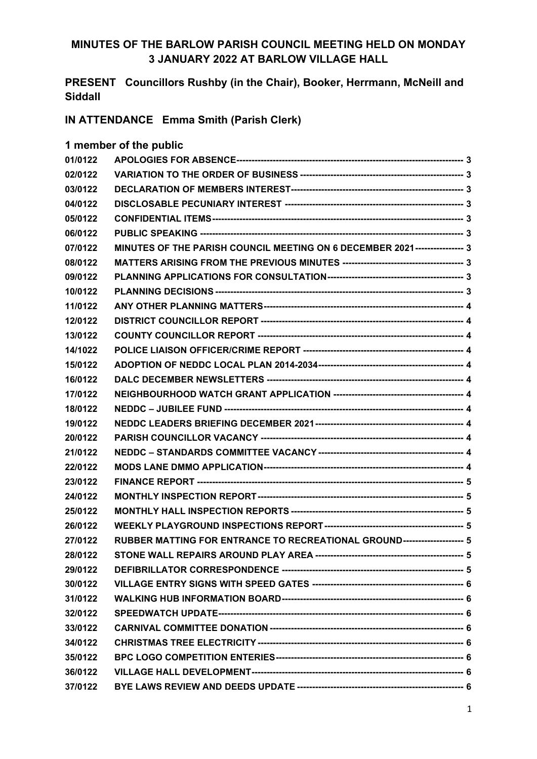# **MINUTES OF THE BARLOW PARISH COUNCIL MEETING HELD ON MONDAY 3 JANUARY 2022 AT BARLOW VILLAGE HALL**

**PRESENT Councillors Rushby (in the Chair), Booker, Herrmann, McNeill and Siddall**

**IN ATTENDANCE Emma Smith (Parish Clerk)**

**1 member of the public**

| 01/0122 |                                                                            |  |
|---------|----------------------------------------------------------------------------|--|
| 02/0122 |                                                                            |  |
| 03/0122 |                                                                            |  |
| 04/0122 |                                                                            |  |
| 05/0122 |                                                                            |  |
| 06/0122 |                                                                            |  |
| 07/0122 | MINUTES OF THE PARISH COUNCIL MEETING ON 6 DECEMBER 2021---------------- 3 |  |
| 08/0122 |                                                                            |  |
| 09/0122 |                                                                            |  |
| 10/0122 |                                                                            |  |
| 11/0122 |                                                                            |  |
| 12/0122 |                                                                            |  |
| 13/0122 |                                                                            |  |
| 14/1022 |                                                                            |  |
| 15/0122 |                                                                            |  |
| 16/0122 |                                                                            |  |
| 17/0122 |                                                                            |  |
| 18/0122 |                                                                            |  |
| 19/0122 |                                                                            |  |
| 20/0122 |                                                                            |  |
| 21/0122 |                                                                            |  |
| 22/0122 |                                                                            |  |
| 23/0122 |                                                                            |  |
| 24/0122 |                                                                            |  |
| 25/0122 |                                                                            |  |
| 26/0122 |                                                                            |  |
| 27/0122 | RUBBER MATTING FOR ENTRANCE TO RECREATIONAL GROUND-------------------- 5   |  |
| 28/0122 |                                                                            |  |
| 29/0122 |                                                                            |  |
| 30/0122 |                                                                            |  |
| 31/0122 |                                                                            |  |
| 32/0122 |                                                                            |  |
| 33/0122 |                                                                            |  |
| 34/0122 |                                                                            |  |
| 35/0122 |                                                                            |  |
| 36/0122 |                                                                            |  |
| 37/0122 |                                                                            |  |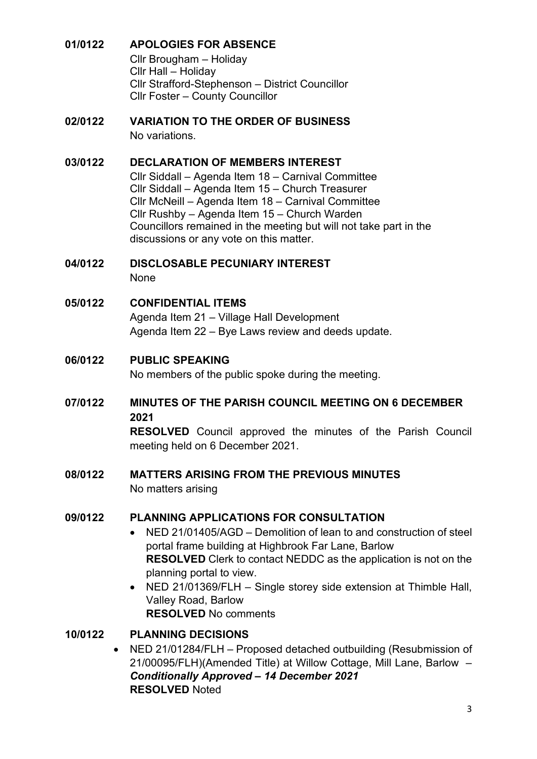# <span id="page-2-0"></span>**01/0122 APOLOGIES FOR ABSENCE**

Cllr Brougham – Holiday Cllr Hall – Holiday Cllr Strafford-Stephenson – District Councillor Cllr Foster – County Councillor

#### <span id="page-2-1"></span>**02/0122 VARIATION TO THE ORDER OF BUSINESS** No variations.

# <span id="page-2-2"></span>**03/0122 DECLARATION OF MEMBERS INTEREST**

Cllr Siddall – Agenda Item 18 – Carnival Committee Cllr Siddall – Agenda Item 15 – Church Treasurer Cllr McNeill – Agenda Item 18 – Carnival Committee Cllr Rushby – Agenda Item 15 – Church Warden Councillors remained in the meeting but will not take part in the discussions or any vote on this matter.

# <span id="page-2-3"></span>**04/0122 DISCLOSABLE PECUNIARY INTEREST**

None

## <span id="page-2-4"></span>**05/0122 CONFIDENTIAL ITEMS**

Agenda Item 21 – Village Hall Development Agenda Item 22 – Bye Laws review and deeds update.

## <span id="page-2-5"></span>**06/0122 PUBLIC SPEAKING**

No members of the public spoke during the meeting.

# <span id="page-2-6"></span>**07/0122 MINUTES OF THE PARISH COUNCIL MEETING ON 6 DECEMBER 2021**

**RESOLVED** Council approved the minutes of the Parish Council meeting held on 6 December 2021.

# <span id="page-2-7"></span>**08/0122 MATTERS ARISING FROM THE PREVIOUS MINUTES**  No matters arising

## <span id="page-2-8"></span>**09/0122 PLANNING APPLICATIONS FOR CONSULTATION**

- NED 21/01405/AGD Demolition of lean to and construction of steel portal frame building at Highbrook Far Lane, Barlow **RESOLVED** Clerk to contact NEDDC as the application is not on the planning portal to view.
- NED 21/01369/FLH Single storey side extension at Thimble Hall, Valley Road, Barlow **RESOLVED** No comments

# <span id="page-2-9"></span>**10/0122 PLANNING DECISIONS**

• NED 21/01284/FLH – Proposed detached outbuilding (Resubmission of 21/00095/FLH)(Amended Title) at Willow Cottage, Mill Lane, Barlow – *Conditionally Approved – 14 December 2021* **RESOLVED** Noted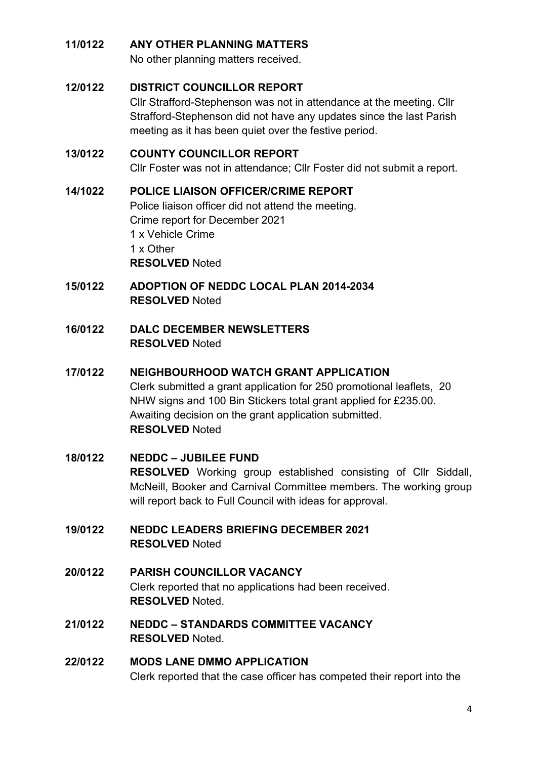## <span id="page-3-0"></span>**11/0122 ANY OTHER PLANNING MATTERS**

No other planning matters received.

## <span id="page-3-1"></span>**12/0122 DISTRICT COUNCILLOR REPORT**

Cllr Strafford-Stephenson was not in attendance at the meeting. Cllr Strafford-Stephenson did not have any updates since the last Parish meeting as it has been quiet over the festive period.

## <span id="page-3-2"></span>**13/0122 COUNTY COUNCILLOR REPORT**

Cllr Foster was not in attendance; Cllr Foster did not submit a report.

## <span id="page-3-3"></span>**14/1022 POLICE LIAISON OFFICER/CRIME REPORT**

Police liaison officer did not attend the meeting. Crime report for December 2021 1 x Vehicle Crime 1 x Other **RESOLVED** Noted

- <span id="page-3-4"></span>**15/0122 ADOPTION OF NEDDC LOCAL PLAN 2014-2034 RESOLVED** Noted
- <span id="page-3-5"></span>**16/0122 DALC DECEMBER NEWSLETTERS RESOLVED** Noted

## <span id="page-3-6"></span>**17/0122 NEIGHBOURHOOD WATCH GRANT APPLICATION**

Clerk submitted a grant application for 250 promotional leaflets, 20 NHW signs and 100 Bin Stickers total grant applied for £235.00. Awaiting decision on the grant application submitted. **RESOLVED** Noted

# <span id="page-3-7"></span>**18/0122 NEDDC – JUBILEE FUND RESOLVED** Working group established consisting of Cllr Siddall, McNeill, Booker and Carnival Committee members. The working group will report back to Full Council with ideas for approval.

- <span id="page-3-8"></span>**19/0122 NEDDC LEADERS BRIEFING DECEMBER 2021 RESOLVED** Noted
- <span id="page-3-9"></span>**20/0122 PARISH COUNCILLOR VACANCY**  Clerk reported that no applications had been received. **RESOLVED** Noted.
- <span id="page-3-10"></span>**21/0122 NEDDC – STANDARDS COMMITTEE VACANCY RESOLVED** Noted.

## <span id="page-3-11"></span>**22/0122 MODS LANE DMMO APPLICATION** Clerk reported that the case officer has competed their report into the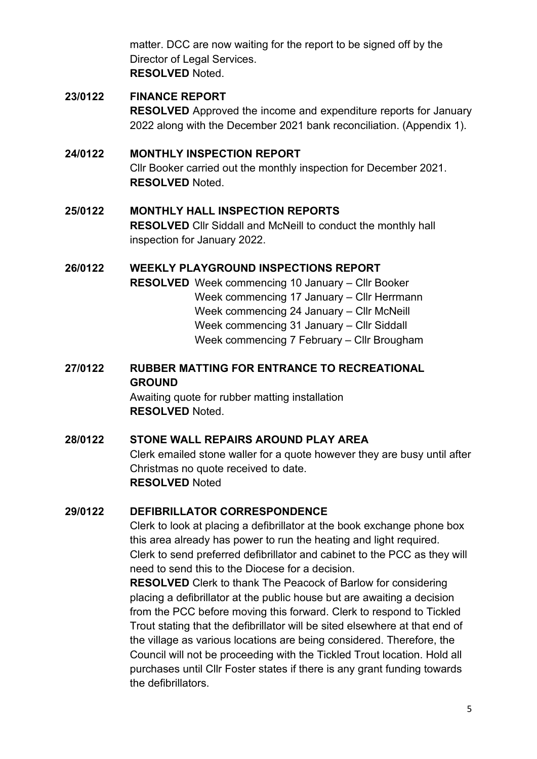matter. DCC are now waiting for the report to be signed off by the Director of Legal Services. **RESOLVED** Noted.

# <span id="page-4-0"></span>**23/0122 FINANCE REPORT RESOLVED** Approved the income and expenditure reports for January 2022 along with the December 2021 bank reconciliation. (Appendix 1).

### <span id="page-4-1"></span>**24/0122 MONTHLY INSPECTION REPORT**

Cllr Booker carried out the monthly inspection for December 2021. **RESOLVED** Noted.

#### <span id="page-4-2"></span>**25/0122 MONTHLY HALL INSPECTION REPORTS**

**RESOLVED** Cllr Siddall and McNeill to conduct the monthly hall inspection for January 2022.

#### <span id="page-4-3"></span>**26/0122 WEEKLY PLAYGROUND INSPECTIONS REPORT**

**RESOLVED** Week commencing 10 January – Cllr Booker

Week commencing 17 January – Cllr Herrmann Week commencing 24 January – Cllr McNeill

Week commencing 31 January – Cllr Siddall

Week commencing 7 February – Cllr Brougham

## <span id="page-4-4"></span>**27/0122 RUBBER MATTING FOR ENTRANCE TO RECREATIONAL GROUND**

Awaiting quote for rubber matting installation **RESOLVED** Noted.

#### <span id="page-4-5"></span>**28/0122 STONE WALL REPAIRS AROUND PLAY AREA**

Clerk emailed stone waller for a quote however they are busy until after Christmas no quote received to date. **RESOLVED** Noted

#### <span id="page-4-6"></span>**29/0122 DEFIBRILLATOR CORRESPONDENCE**

Clerk to look at placing a defibrillator at the book exchange phone box this area already has power to run the heating and light required. Clerk to send preferred defibrillator and cabinet to the PCC as they will need to send this to the Diocese for a decision.

**RESOLVED** Clerk to thank The Peacock of Barlow for considering placing a defibrillator at the public house but are awaiting a decision from the PCC before moving this forward. Clerk to respond to Tickled Trout stating that the defibrillator will be sited elsewhere at that end of the village as various locations are being considered. Therefore, the Council will not be proceeding with the Tickled Trout location. Hold all purchases until Cllr Foster states if there is any grant funding towards the defibrillators.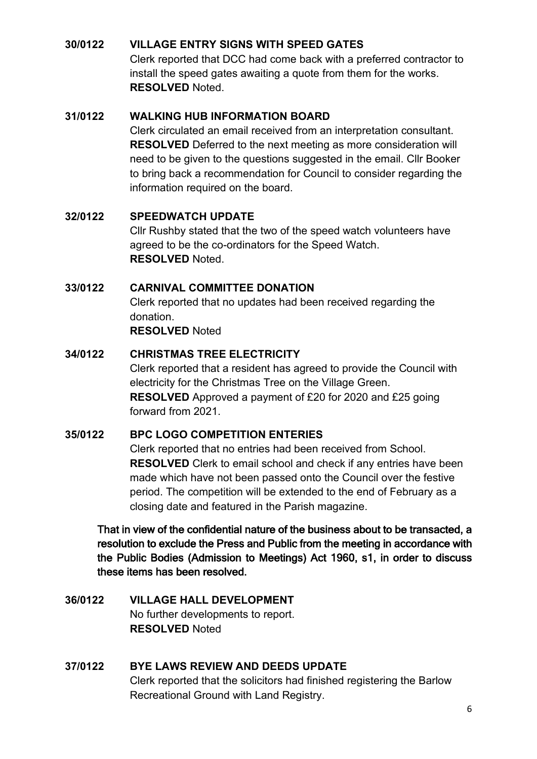## <span id="page-5-0"></span>**30/0122 VILLAGE ENTRY SIGNS WITH SPEED GATES**

Clerk reported that DCC had come back with a preferred contractor to install the speed gates awaiting a quote from them for the works. **RESOLVED** Noted.

## <span id="page-5-1"></span>**31/0122 WALKING HUB INFORMATION BOARD**

Clerk circulated an email received from an interpretation consultant. **RESOLVED** Deferred to the next meeting as more consideration will need to be given to the questions suggested in the email. Cllr Booker to bring back a recommendation for Council to consider regarding the information required on the board.

## <span id="page-5-2"></span>**32/0122 SPEEDWATCH UPDATE**

Cllr Rushby stated that the two of the speed watch volunteers have agreed to be the co-ordinators for the Speed Watch. **RESOLVED** Noted.

## <span id="page-5-3"></span>**33/0122 CARNIVAL COMMITTEE DONATION**

Clerk reported that no updates had been received regarding the donation.

**RESOLVED** Noted

# <span id="page-5-4"></span>**34/0122 CHRISTMAS TREE ELECTRICITY**

Clerk reported that a resident has agreed to provide the Council with electricity for the Christmas Tree on the Village Green. **RESOLVED** Approved a payment of £20 for 2020 and £25 going forward from 2021.

# <span id="page-5-5"></span>**35/0122 BPC LOGO COMPETITION ENTERIES**

Clerk reported that no entries had been received from School. **RESOLVED** Clerk to email school and check if any entries have been made which have not been passed onto the Council over the festive period. The competition will be extended to the end of February as a closing date and featured in the Parish magazine.

That in view of the confidential nature of the business about to be transacted, a resolution to exclude the Press and Public from the meeting in accordance with the Public Bodies (Admission to Meetings) Act 1960, s1, in order to discuss these items has been resolved.

# <span id="page-5-6"></span>**36/0122 VILLAGE HALL DEVELOPMENT** No further developments to report. **RESOLVED** Noted

# <span id="page-5-7"></span>**37/0122 BYE LAWS REVIEW AND DEEDS UPDATE**

Clerk reported that the solicitors had finished registering the Barlow Recreational Ground with Land Registry.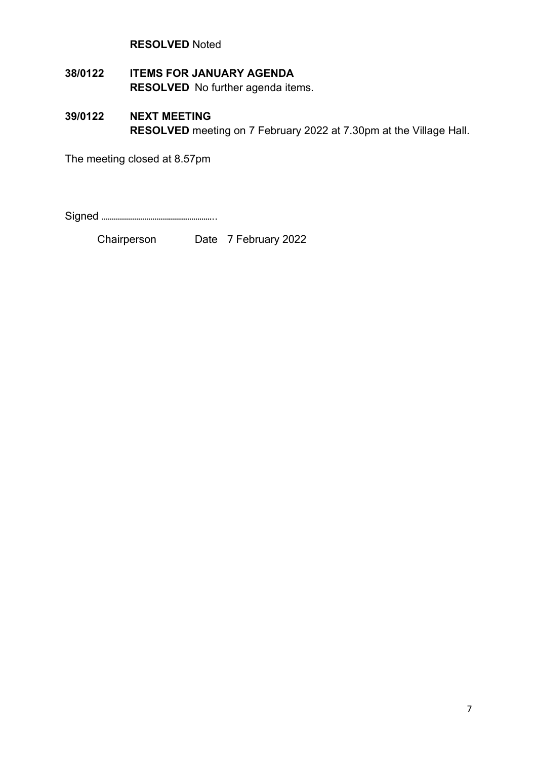**RESOLVED** Noted

- <span id="page-6-0"></span>**38/0122 ITEMS FOR JANUARY AGENDA RESOLVED** No further agenda items.
- <span id="page-6-1"></span>**39/0122 NEXT MEETING RESOLVED** meeting on 7 February 2022 at 7.30pm at the Village Hall.

The meeting closed at 8.57pm

Signed ………………………………………………..

Chairperson Date 7 February 2022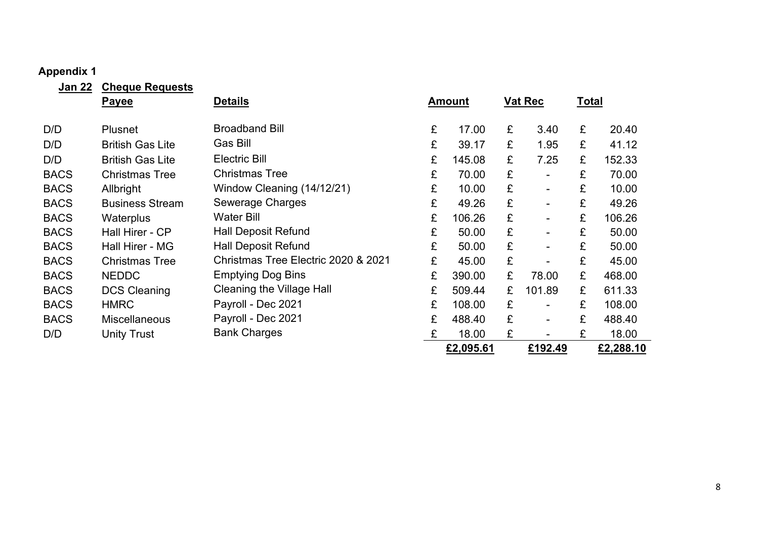# **Appendix 1**

<span id="page-7-0"></span>

| <b>Jan 22</b> | <b>Cheque Requests</b>  |                                     |   |               |   |                          |              |           |
|---------------|-------------------------|-------------------------------------|---|---------------|---|--------------------------|--------------|-----------|
|               | <b>Payee</b>            | <b>Details</b>                      |   | <b>Amount</b> |   | <b>Vat Rec</b>           | <u>Total</u> |           |
| D/D           | Plusnet                 | <b>Broadband Bill</b>               | £ | 17.00         | £ | 3.40                     | £            | 20.40     |
| D/D           | <b>British Gas Lite</b> | <b>Gas Bill</b>                     | £ | 39.17         | £ | 1.95                     | £            | 41.12     |
| D/D           | <b>British Gas Lite</b> | <b>Electric Bill</b>                | £ | 145.08        | £ | 7.25                     | £            | 152.33    |
| <b>BACS</b>   | <b>Christmas Tree</b>   | <b>Christmas Tree</b>               | £ | 70.00         | £ | $\overline{\phantom{a}}$ | £            | 70.00     |
| <b>BACS</b>   | Allbright               | Window Cleaning (14/12/21)          | £ | 10.00         | £ | $\blacksquare$           | £            | 10.00     |
| <b>BACS</b>   | <b>Business Stream</b>  | <b>Sewerage Charges</b>             | £ | 49.26         | £ | $\blacksquare$           | £            | 49.26     |
| <b>BACS</b>   | Waterplus               | <b>Water Bill</b>                   | £ | 106.26        | £ | $\blacksquare$           | £            | 106.26    |
| <b>BACS</b>   | Hall Hirer - CP         | <b>Hall Deposit Refund</b>          | £ | 50.00         | £ | $\blacksquare$           | £            | 50.00     |
| <b>BACS</b>   | Hall Hirer - MG         | <b>Hall Deposit Refund</b>          | £ | 50.00         | £ | $\blacksquare$           | £            | 50.00     |
| <b>BACS</b>   | <b>Christmas Tree</b>   | Christmas Tree Electric 2020 & 2021 | £ | 45.00         | £ |                          | £            | 45.00     |
| <b>BACS</b>   | <b>NEDDC</b>            | <b>Emptying Dog Bins</b>            | £ | 390.00        | £ | 78.00                    | £            | 468.00    |
| <b>BACS</b>   | <b>DCS Cleaning</b>     | <b>Cleaning the Village Hall</b>    | £ | 509.44        | £ | 101.89                   | £            | 611.33    |
| <b>BACS</b>   | <b>HMRC</b>             | Payroll - Dec 2021                  | £ | 108.00        | £ | $\blacksquare$           | £            | 108.00    |
| <b>BACS</b>   | <b>Miscellaneous</b>    | Payroll - Dec 2021                  | £ | 488.40        | £ | $\blacksquare$           | £            | 488.40    |
| D/D           | <b>Unity Trust</b>      | <b>Bank Charges</b>                 | £ | 18.00         | £ | $\overline{\phantom{a}}$ | £            | 18.00     |
|               |                         |                                     |   | £2,095.61     |   | £192.49                  |              | £2,288.10 |